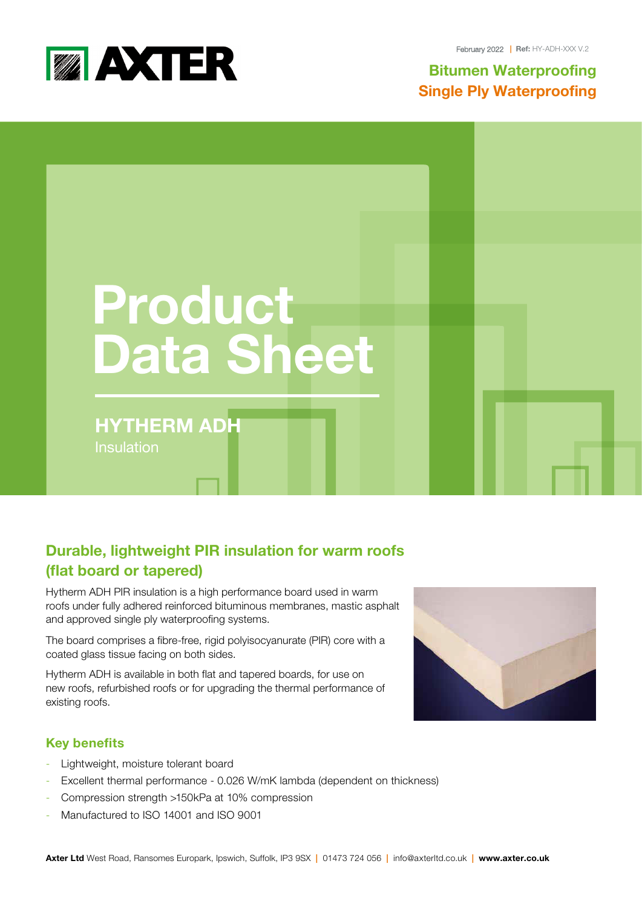

February 2022 **| Ref:** HY-ADH-XXX V.2

**Bitumen Waterproofing S**ingle **Ply Waterproofing**



# **Durable, lightweight PIR insulation for warm roofs (flat board or tapered)**

Hytherm ADH PIR insulation is a high performance board used in warm roofs under fully adhered reinforced bituminous membranes, mastic asphalt and approved single ply waterproofing systems.

The board comprises a fibre-free, rigid polyisocyanurate (PIR) core with a coated glass tissue facing on both sides.

Hytherm ADH is available in both flat and tapered boards, for use on new roofs, refurbished roofs or for upgrading the thermal performance of existing roofs.



# **Key benefits**

- Lightweight, moisture tolerant board
- Excellent thermal performance 0.026 W/mK lambda (dependent on thickness)
- Compression strength >150kPa at 10% compression
- Manufactured to ISO 14001 and ISO 9001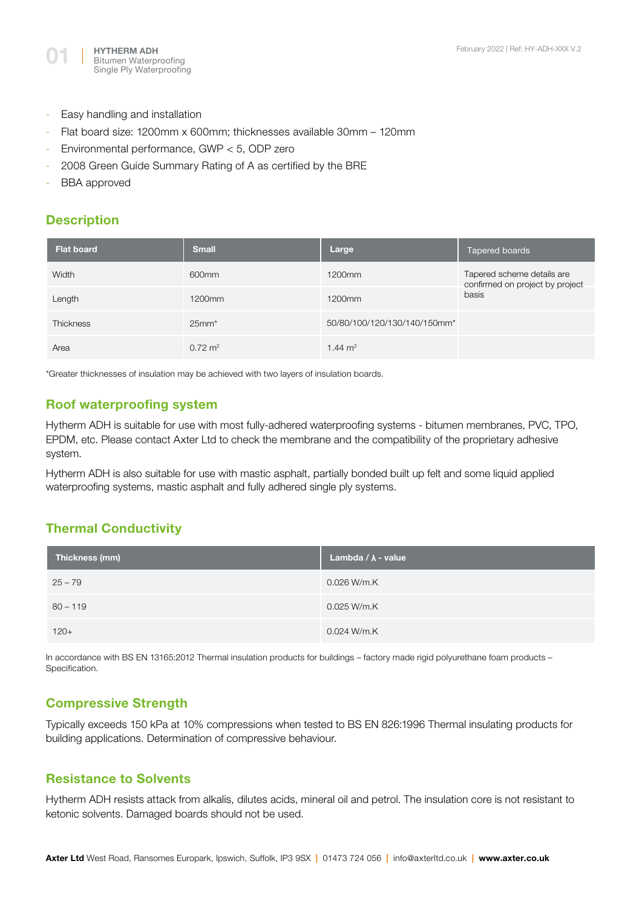

- Easy handling and installation
- Flat board size: 1200mm x 600mm; thicknesses available 30mm 120mm
- Environmental performance, GWP < 5, ODP zero
- 2008 Green Guide Summary Rating of A as certified by the BRE
- BBA approved

#### **Description**

| <b>Flat board</b> | <b>Small</b>       | Large                        | Tapered boards                                                         |
|-------------------|--------------------|------------------------------|------------------------------------------------------------------------|
| Width             | 600mm              | 1200mm                       | Tapered scheme details are<br>confirmed on project by project<br>basis |
| Length            | 1200mm             | 1200mm                       |                                                                        |
| <b>Thickness</b>  | $25mm*$            | 50/80/100/120/130/140/150mm* |                                                                        |
| Area              | $0.72 \text{ m}^2$ | 1.44 $m2$                    |                                                                        |

\*Greater thicknesses of insulation may be achieved with two layers of insulation boards.

## **Roof waterproofing system**

Hytherm ADH is suitable for use with most fully-adhered waterproofing systems - bitumen membranes, PVC, TPO, EPDM, etc. Please contact Axter Ltd to check the membrane and the compatibility of the proprietary adhesive system.

Hytherm ADH is also suitable for use with mastic asphalt, partially bonded built up felt and some liquid applied waterproofing systems, mastic asphalt and fully adhered single ply systems.

# **Thermal Conductivity**

| Thickness (mm) | Lambda $/\lambda$ - value |
|----------------|---------------------------|
| $25 - 79$      | 0.026 W/m.K               |
| $80 - 119$     | 0.025 W/m.K               |
| $120+$         | 0.024 W/m.K               |

In accordance with BS EN 13165:2012 Thermal insulation products for buildings – factory made rigid polyurethane foam products – Specification.

# **Compressive Strength**

Typically exceeds 150 kPa at 10% compressions when tested to BS EN 826:1996 Thermal insulating products for building applications. Determination of compressive behaviour.

#### **Resistance to Solvents**

Hytherm ADH resists attack from alkalis, dilutes acids, mineral oil and petrol. The insulation core is not resistant to ketonic solvents. Damaged boards should not be used.